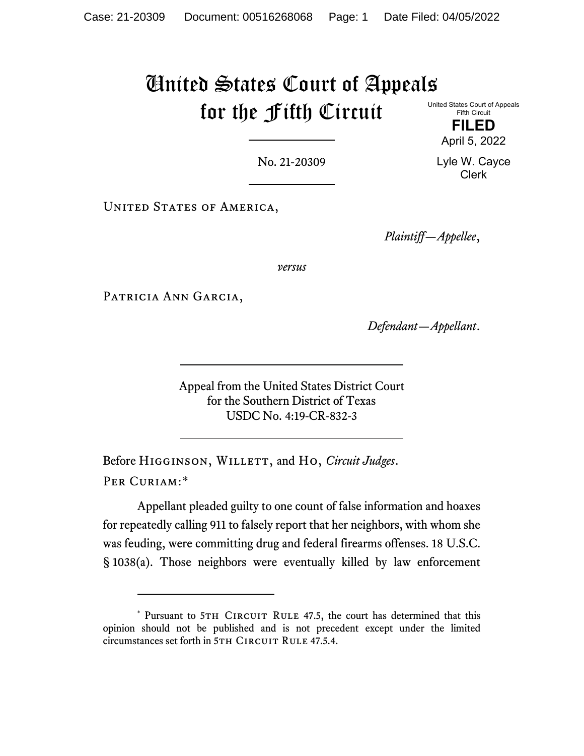## United States Court of Appeals for the Fifth Circuit

United States Court of Appeals Fifth Circuit

**FILED** April 5, 2022

Lyle W. Cayce Clerk

No. 21-20309

UNITED STATES OF AMERICA,

*Plaintiff—Appellee*,

*versus*

PATRICIA ANN GARCIA,

*Defendant—Appellant*.

Appeal from the United States District Court for the Southern District of Texas USDC No. 4:19-CR-832-3

Before Higginson, Willett, and Ho, *Circuit Judges*. Per Curiam:[\\*](#page-0-0)

Appellant pleaded guilty to one count of false information and hoaxes for repeatedly calling 911 to falsely report that her neighbors, with whom she was feuding, were committing drug and federal firearms offenses. 18 U.S.C. § 1038(a). Those neighbors were eventually killed by law enforcement

<span id="page-0-0"></span><sup>\*</sup> Pursuant to 5TH CIRCUIT RULE 47.5, the court has determined that this opinion should not be published and is not precedent except under the limited circumstances set forth in 5TH CIRCUIT RULE 47.5.4.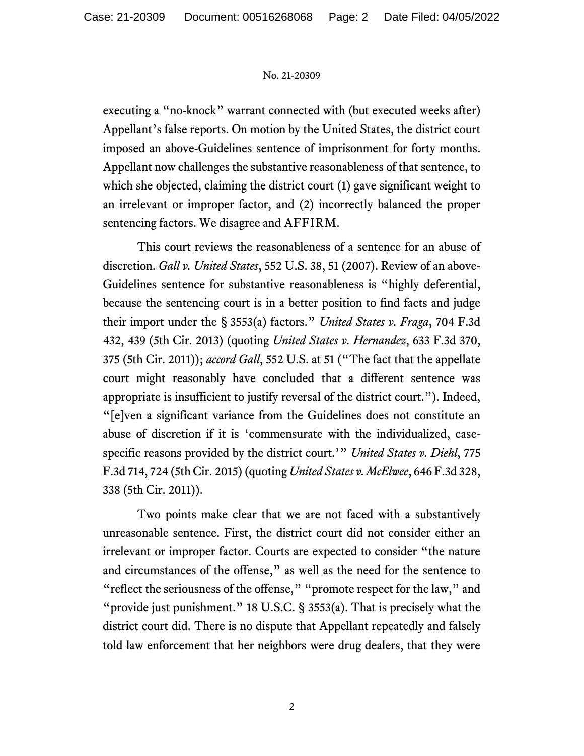## No. 21-20309

executing a "no-knock" warrant connected with (but executed weeks after) Appellant's false reports. On motion by the United States, the district court imposed an above-Guidelines sentence of imprisonment for forty months. Appellant now challenges the substantive reasonableness of that sentence, to which she objected, claiming the district court (1) gave significant weight to an irrelevant or improper factor, and (2) incorrectly balanced the proper sentencing factors. We disagree and AFFIRM.

This court reviews the reasonableness of a sentence for an abuse of discretion. *Gall v. United States*, 552 U.S. 38, 51 (2007). Review of an above-Guidelines sentence for substantive reasonableness is "highly deferential, because the sentencing court is in a better position to find facts and judge their import under the § 3553(a) factors." *United States v. Fraga*, 704 F.3d 432, 439 (5th Cir. 2013) (quoting *United States v. Hernandez*, 633 F.3d 370, 375 (5th Cir. 2011)); *accord Gall*, 552 U.S. at 51 ("The fact that the appellate court might reasonably have concluded that a different sentence was appropriate is insufficient to justify reversal of the district court."). Indeed, "[e]ven a significant variance from the Guidelines does not constitute an abuse of discretion if it is 'commensurate with the individualized, casespecific reasons provided by the district court.'" *United States v. Diehl*, 775 F.3d 714, 724 (5th Cir. 2015)(quoting *United States v. McElwee*, 646 F.3d 328, 338 (5th Cir. 2011)).

Two points make clear that we are not faced with a substantively unreasonable sentence. First, the district court did not consider either an irrelevant or improper factor. Courts are expected to consider "the nature and circumstances of the offense," as well as the need for the sentence to "reflect the seriousness of the offense," "promote respect for the law," and "provide just punishment." 18 U.S.C. § 3553(a). That is precisely what the district court did. There is no dispute that Appellant repeatedly and falsely told law enforcement that her neighbors were drug dealers, that they were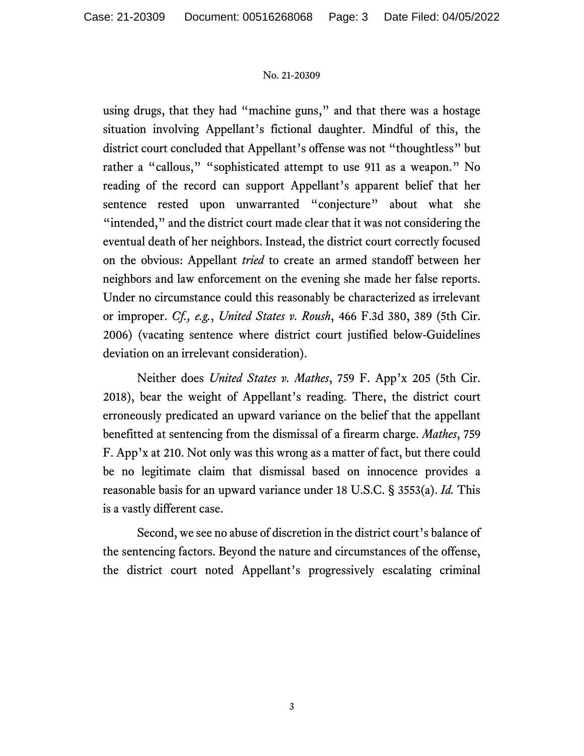## No. 21-20309

using drugs, that they had "machine guns," and that there was a hostage situation involving Appellant's fictional daughter. Mindful of this, the district court concluded that Appellant's offense was not "thoughtless" but rather a "callous," "sophisticated attempt to use 911 as a weapon." No reading of the record can support Appellant's apparent belief that her sentence rested upon unwarranted "conjecture" about what she "intended," and the district court made clear that it was not considering the eventual death of her neighbors. Instead, the district court correctly focused on the obvious: Appellant *tried* to create an armed standoff between her neighbors and law enforcement on the evening she made her false reports. Under no circumstance could this reasonably be characterized as irrelevant or improper. *Cf., e.g.*, *United States v. Roush*, 466 F.3d 380, 389 (5th Cir. 2006) (vacating sentence where district court justified below-Guidelines deviation on an irrelevant consideration).

Neither does *United States v. Mathes*, 759 F. App'x 205 (5th Cir. 2018), bear the weight of Appellant's reading. There, the district court erroneously predicated an upward variance on the belief that the appellant benefitted at sentencing from the dismissal of a firearm charge. *Mathes*, 759 F. App'x at 210. Not only was this wrong as a matter of fact, but there could be no legitimate claim that dismissal based on innocence provides a reasonable basis for an upward variance under 18 U.S.C. § 3553(a). *Id.* This is a vastly different case.

Second, we see no abuse of discretion in the district court's balance of the sentencing factors. Beyond the nature and circumstances of the offense, the district court noted Appellant's progressively escalating criminal